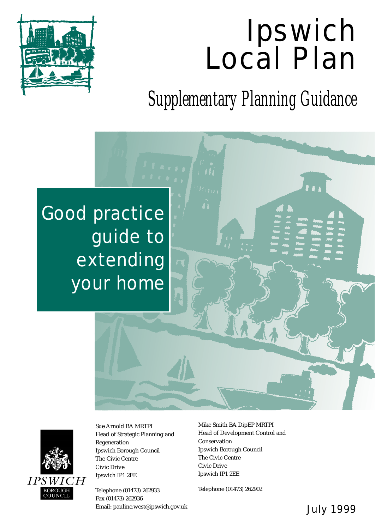# Ipswich Local Plan



*Supplementary Planning Guidance*

## Good practice guide to extending your home



Sue Arnold BA MRTPI Head of Strategic Planning and Regeneration Ipswich Borough Council The Civic Centre Civic Drive Ipswich IP1 2EE

Telephone (01473) 262933 Fax (01473) 262936 Email: pauline.west@ipswich.gov.uk **July 1999** 

Mike Smith BA DipEP MRTPI Head of Development Control and Conservation Ipswich Borough Council The Civic Centre Civic Drive Ipswich IP1 2EE

Telephone (01473) 262902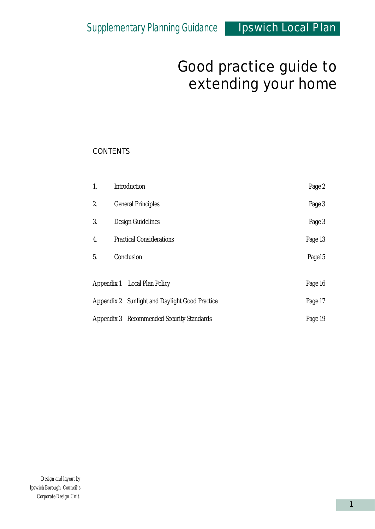#### **CONTENTS**

| 1. | Introduction                                   | Page 2  |
|----|------------------------------------------------|---------|
| 2. | <b>General Principles</b>                      | Page 3  |
| 3. | Design Guidelines                              | Page 3  |
| 4. | <b>Practical Considerations</b>                | Page 13 |
| 5. | Conclusion                                     | Page15  |
|    | Appendix 1 Local Plan Policy                   | Page 16 |
|    | Appendix 2 Sunlight and Daylight Good Practice | Page 17 |
|    | Appendix 3 Recommended Security Standards      | Page 19 |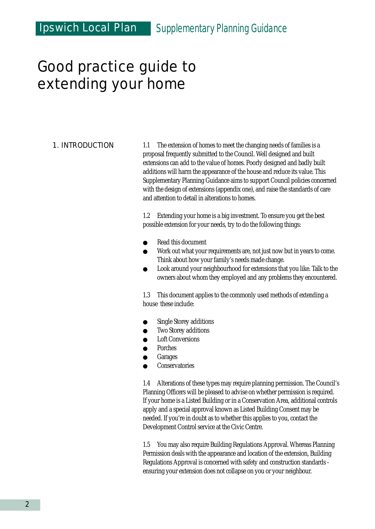#### 1. INTRODUCTION

1.1 The extension of homes to meet the changing needs of families is a proposal frequently submitted to the Council. Well designed and built extensions can add to the value of homes. Poorly designed and badly built additions will harm the appearance of the house and reduce its value. This Supplementary Planning Guidance aims to support Council policies concerned with the design of extensions (appendix one), and raise the standards of care and attention to detail in alterations to homes.

1.2 Extending your home is a big investment. To ensure you get the best possible extension for your needs, try to do the following things:

- Read this document
- Work out what your requirements are, not just now but in years to come. Think about how your family's needs made change.
- Look around your neighbourhood for extensions that you like. Talk to the owners about whom they employed and any problems they encountered.

1.3 This document applies to the commonly used methods of extending a house these include:

- Single Storey additions
- Two Storey additions
- **Loft Conversions**
- **Porches**
- **Garages**
- **Conservatories**

1.4 Alterations of these types may require planning permission. The Council's Planning Officers will be pleased to advise on whether permission is required. If your home is a Listed Building or in a Conservation Area, additional controls apply and a special approval known as Listed Building Consent may be needed. If you're in doubt as to whether this applies to you, contact the Development Control service at the Civic Centre.

1.5 You may also require Building Regulations Approval. Whereas Planning Permission deals with the appearance and location of the extension, Building Regulations Approval is concerned with safety and construction standards ensuring your extension does not collapse on you or your neighbour.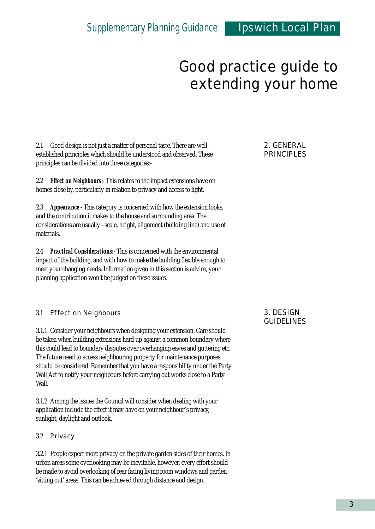2.1 Good design is not just a matter of personal taste. There are wellestablished principles which should be understood and observed. These principles can be divided into three categories:-

2.2 *Effect on Neighbours*:- This relates to the impact extensions have on homes close by, particularly in relation to privacy and access to light.

2.3 *Appearance*:- This category is concerned with how the extension looks, and the contribution it makes to the house and surrounding area. The considerations are usually - scale, height, alignment (building line) and use of materials.

2.4 *Practical Considerations:*- This is concerned with the environmental impact of the building, and with how to make the building flexible enough to meet your changing needs. Information given in this section is advice, your planning application won't be judged on these issues.

#### 3.1 Effect on Neighbours

3.1.1 Consider your neighbours when designing your extension. Care should be taken when building extensions hard up against a common boundary where this could lead to boundary disputes over overhanging eaves and guttering etc. The future need to access neighbouring property for maintenance purposes should be considered. Remember that you have a responsibility under the Party Wall Act to notify your neighbours before carrying out works close to a Party Wall.

3.1.2 Among the issues the Council will consider when dealing with your application include the effect it may have on your neighbour's privacy, sunlight, daylight and outlook.

#### 3.2 Privacy

3.2.1 People expect more privacy on the private garden sides of their homes. In urban areas some overlooking may be inevitable, however, every effort should be made to avoid overlooking of rear facing living room windows and garden 'sitting out' areas. This can be achieved through distance and design.

#### 2. GENERAL PRINCIPLES

#### 3. DESIGN GUIDELINES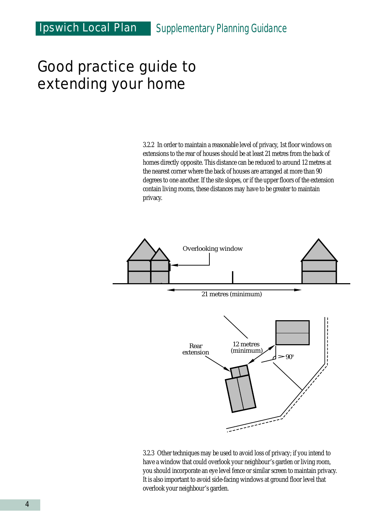3.2.2 In order to maintain a reasonable level of privacy, 1st floor windows on extensions to the rear of houses should be at least 21 metres from the back of homes directly opposite. This distance can be reduced to around 12 metres at the nearest corner where the back of houses are arranged at more than 90 degrees to one another. If the site slopes, or if the upper floors of the extension contain living rooms, these distances may have to be greater to maintain privacy.



3.2.3 Other techniques may be used to avoid loss of privacy; if you intend to have a window that could overlook your neighbour's garden or living room, you should incorporate an eye level fence or similar screen to maintain privacy. It is also important to avoid side-facing windows at ground floor level that overlook your neighbour's garden.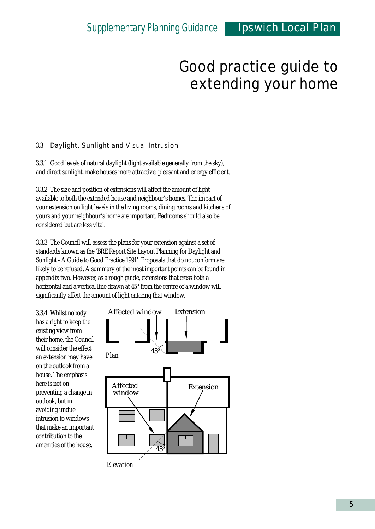#### 3.3 Daylight, Sunlight and Visual Intrusion

3.3.1 Good levels of natural daylight (light available generally from the sky), and direct sunlight, make houses more attractive, pleasant and energy efficient.

3.3.2 The size and position of extensions will affect the amount of light available to both the extended house and neighbour's homes. The impact of your extension on light levels in the living rooms, dining rooms and kitchens of yours and your neighbour's home are important. Bedrooms should also be considered but are less vital.

3.3.3 The Council will assess the plans for your extension against a set of standards known as the 'BRE Report Site Layout Planning for Daylight and Sunlight - A Guide to Good Practice 1991'. Proposals that do not conform are likely to be refused. A summary of the most important points can be found in appendix two. However, as a rough guide, extensions that cross both a horizontal and a vertical line drawn at 45° from the centre of a window will significantly affect the amount of light entering that window.

3.3.4 Whilst nobody has a right to keep the existing view from their home, the Council will consider the effect an extension may have on the outlook from a house. The emphasis here is not on preventing a change in outlook, but in avoiding undue intrusion to windows that make an important contribution to the amenities of the house.



*Elevation*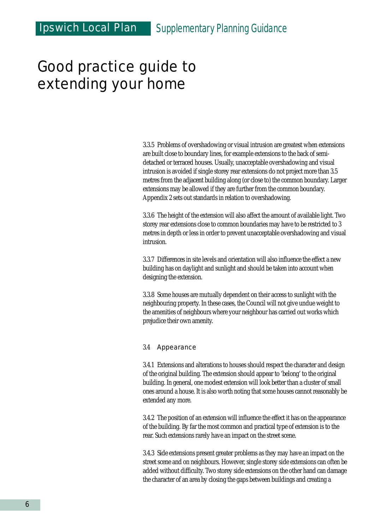3.3.5 Problems of overshadowing or visual intrusion are greatest when extensions are built close to boundary lines, for example extensions to the back of semidetached or terraced houses. Usually, unacceptable overshadowing and visual intrusion is avoided if single storey rear extensions do not project more than 3.5 metres from the adjacent building along (or close to) the common boundary. Larger extensions may be allowed if they are further from the common boundary. Appendix 2 sets out standards in relation to overshadowing.

3.3.6 The height of the extension will also affect the amount of available light. Two storey rear extensions close to common boundaries may have to be restricted to 3 metres in depth or less in order to prevent unacceptable overshadowing and visual intrusion.

3.3.7 Differences in site levels and orientation will also influence the effect a new building has on daylight and sunlight and should be taken into account when designing the extension.

3.3.8 Some houses are mutually dependent on their access to sunlight with the neighbouring property. In these cases, the Council will not give undue weight to the amenities of neighbours where your neighbour has carried out works which prejudice their own amenity.

#### 3.4 Appearance

3.4.1 Extensions and alterations to houses should respect the character and design of the original building. The extension should appear to 'belong' to the original building. In general, one modest extension will look better than a cluster of small ones around a house. It is also worth noting that some houses cannot reasonably be extended any more.

3.4.2 The position of an extension will influence the effect it has on the appearance of the building. By far the most common and practical type of extension is to the rear. Such extensions rarely have an impact on the street scene.

3.4.3 Side extensions present greater problems as they may have an impact on the street scene and on neighbours. However, single storey side extensions can often be added without difficulty. Two storey side extensions on the other hand can damage the character of an area by closing the gaps between buildings and creating a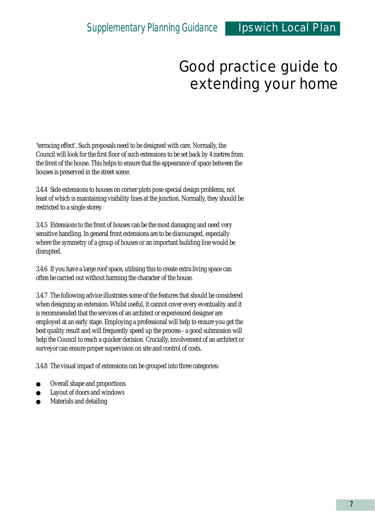'terracing effect'. Such proposals need to be designed with care. Normally, the Council will look for the first floor of such extensions to be set back by 4 metres from the front of the house. This helps to ensure that the appearance of space between the houses is preserved in the street scene.

3.4.4 Side extensions to houses on corner plots pose special design problems, not least of which is maintaining visibility lines at the junction. Normally, they should be restricted to a single storey.

3.4.5 Extensions to the front of houses can be the most damaging and need very sensitive handling. In general front extensions are to be discouraged, especially where the symmetry of a group of houses or an important building line would be disrupted.

3.4.6 If you have a large roof space, utilising this to create extra living space can often be carried out without harming the character of the house.

3.4.7 The following advice illustrates some of the features that should be considered when designing an extension. Whilst useful, it cannot cover every eventuality and it is recommended that the services of an architect or experienced designer are employed at an early stage. Employing a professional will help to ensure you get the best quality result and will frequently speed up the process - a good submission will help the Council to reach a quicker decision. Crucially, involvement of an architect or surveyor can ensure proper supervision on site and control of costs.

3.4.8 The visual impact of extensions can be grouped into three categories:

- Overall shape and proportions
- Layout of doors and windows
- Materials and detailing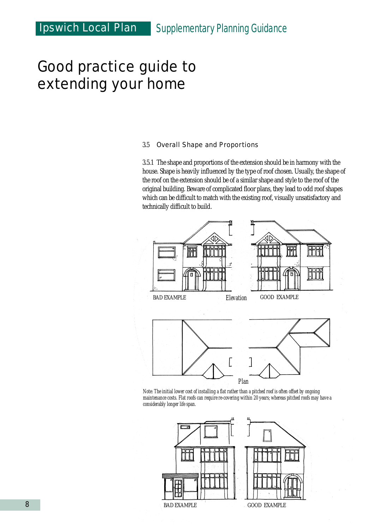#### 3.5 Overall Shape and Proportions

3.5.1 The shape and proportions of the extension should be in harmony with the house. Shape is heavily influenced by the type of roof chosen. Usually, the shape of the roof on the extension should be of a similar shape and style to the roof of the original building. Beware of complicated floor plans, they lead to odd roof shapes which can be difficult to match with the existing roof, visually unsatisfactory and technically difficult to build.



*Note: The initial lower cost of installing a flat rather than a pitched roof is often offset by ongoing maintenance costs. Flat roofs can require re-covering within 20 years; whereas pitched roofs may have a considerably longer life span.*

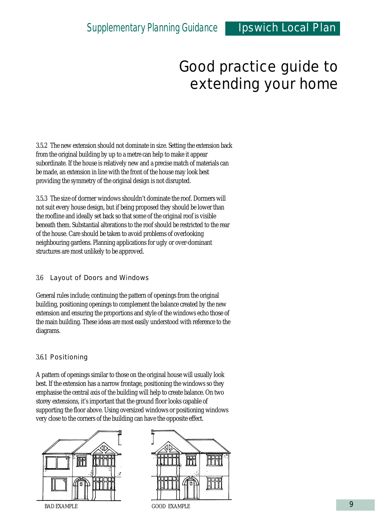3.5.2 The new extension should not dominate in size. Setting the extension back from the original building by up to a metre can help to make it appear subordinate. If the house is relatively new and a precise match of materials can be made, an extension in line with the front of the house may look best providing the symmetry of the original design is not disrupted.

3.5.3 The size of dormer windows shouldn't dominate the roof. Dormers will not suit every house design, but if being proposed they should be lower than the roofline and ideally set back so that some of the original roof is visible beneath them. Substantial alterations to the roof should be restricted to the rear of the house. Care should be taken to avoid problems of overlooking neighbouring gardens. Planning applications for ugly or over-dominant structures are most unlikely to be approved.

#### 3.6 Layout of Doors and Windows

General rules include; continuing the pattern of openings from the original building, positioning openings to complement the balance created by the new extension and ensuring the proportions and style of the windows echo those of the main building. These ideas are most easily understood with reference to the diagrams.

#### 3.6.1 Positioning

A pattern of openings similar to those on the original house will usually look best. If the extension has a narrow frontage, positioning the windows so they emphasise the central axis of the building will help to create balance. On two storey extensions, it's important that the ground floor looks capable of supporting the floor above. Using oversized windows or positioning windows very close to the corners of the building can have the opposite effect.



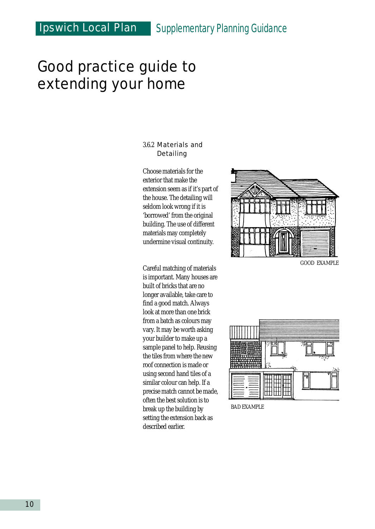## Ipswich Local Plan *Supplementary Planning Guidance*

## Good practice guide to extending your home

#### 3.6.2 Materials and Detailing

Choose materials for the exterior that make the extension seem as if it's part of the house. The detailing will seldom look wrong if it is 'borrowed' from the original building. The use of different materials may completely undermine visual continuity.

Careful matching of materials is important. Many houses are built of bricks that are no longer available, take care to find a good match. Always look at more than one brick from a batch as colours may vary. It may be worth asking your builder to make up a sample panel to help. Reusing the tiles from where the new roof connection is made or using second hand tiles of a similar colour can help. If a precise match cannot be made, often the best solution is to break up the building by setting the extension back as described earlier.



GOOD EXAMPLE



BAD EXAMPLE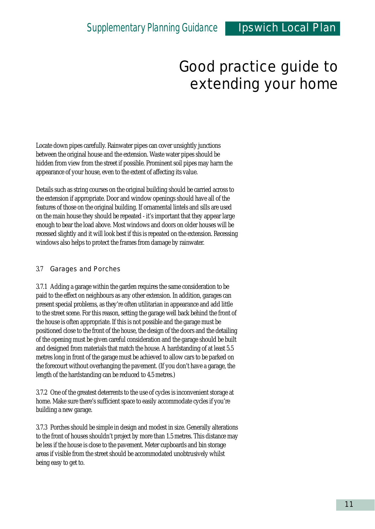Locate down pipes carefully. Rainwater pipes can cover unsightly junctions between the original house and the extension. Waste water pipes should be hidden from view from the street if possible. Prominent soil pipes may harm the appearance of your house, even to the extent of affecting its value.

Details such as string courses on the original building should be carried across to the extension if appropriate. Door and window openings should have all of the features of those on the original building. If ornamental lintels and sills are used on the main house they should be repeated - it's important that they appear large enough to bear the load above. Most windows and doors on older houses will be recessed slightly and it will look best if this is repeated on the extension. Recessing windows also helps to protect the frames from damage by rainwater.

#### 3.7 Garages and Porches

3.7.1 Adding a garage within the garden requires the same consideration to be paid to the effect on neighbours as any other extension. In addition, garages can present special problems, as they're often utilitarian in appearance and add little to the street scene. For this reason, setting the garage well back behind the front of the house is often appropriate. If this is not possible and the garage must be positioned close to the front of the house, the design of the doors and the detailing of the opening must be given careful consideration and the garage should be built and designed from materials that match the house. A hardstanding of at least 5.5 metres long in front of the garage must be achieved to allow cars to be parked on the forecourt without overhanging the pavement. (If you don't have a garage, the length of the hardstanding can be reduced to 4.5 metres.)

3.7.2 One of the greatest deterrents to the use of cycles is inconvenient storage at home. Make sure there's sufficient space to easily accommodate cycles if you're building a new garage.

3.7.3 Porches should be simple in design and modest in size. Generally alterations to the front of houses shouldn't project by more than 1.5 metres. This distance may be less if the house is close to the pavement. Meter cupboards and bin storage areas if visible from the street should be accommodated unobtrusively whilst being easy to get to.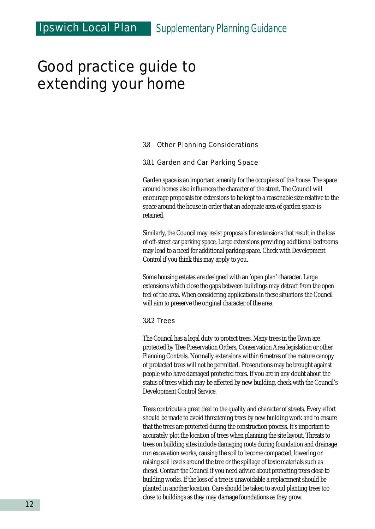#### 3.8 Other Planning Considerations

#### 3.8.1 Garden and Car Parking Space

Garden space is an important amenity for the occupiers of the house. The space around homes also influences the character of the street. The Council will encourage proposals for extensions to be kept to a reasonable size relative to the space around the house in order that an adequate area of garden space is retained.

Similarly, the Council may resist proposals for extensions that result in the loss of off-street car parking space. Large extensions providing additional bedrooms may lead to a need for additional parking space. Check with Development Control if you think this may apply to you.

Some housing estates are designed with an 'open plan' character. Large extensions which close the gaps between buildings may detract from the open feel of the area. When considering applications in these situations the Council will aim to preserve the original character of the area.

#### 3.8.2 Trees

The Council has a legal duty to protect trees. Many trees in the Town are protected by Tree Preservation Orders, Conservation Area legislation or other Planning Controls. Normally extensions within 6 metres of the mature canopy of protected trees will not be permitted. Prosecutions may be brought against people who have damaged protected trees. If you are in any doubt about the status of trees which may be affected by new building, check with the Council's Development Control Service.

Trees contribute a great deal to the quality and character of streets. Every effort should be made to avoid threatening trees by new building work and to ensure that the trees are protected during the construction process. It's important to accurately plot the location of trees when planning the site layout. Threats to trees on building sites include damaging roots during foundation and drainage run excavation works, causing the soil to become compacted, lowering or raising soil levels around the tree or the spillage of toxic materials such as diesel. Contact the Council if you need advice about protecting trees close to building works. If the loss of a tree is unavoidable a replacement should be planted in another location. Care should be taken to avoid planting trees too close to buildings as they may damage foundations as they grow.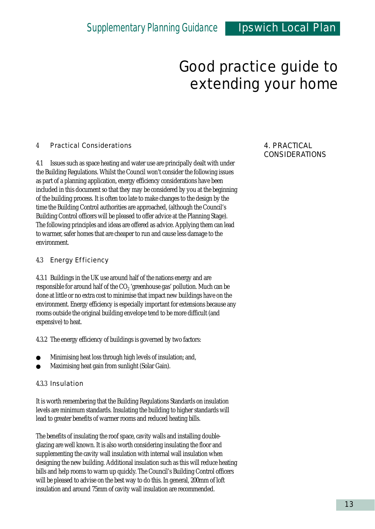#### 4 Practical Considerations

4.1 Issues such as space heating and water use are principally dealt with under the Building Regulations. Whilst the Council won't consider the following issues as part of a planning application, energy efficiency considerations have been included in this document so that they may be considered by you at the beginning of the building process. It is often too late to make changes to the design by the time the Building Control authorities are approached, (although the Council's Building Control officers will be pleased to offer advice at the Planning Stage). The following principles and ideas are offered as advice. Applying them can lead to warmer, safer homes that are cheaper to run and cause less damage to the environment.

#### 4.3 Energy Efficiency

4.3.1 Buildings in the UK use around half of the nations energy and are responsible for around half of the  $CO<sub>2</sub>$  'greenhouse gas' pollution. Much can be done at little or no extra cost to minimise that impact new buildings have on the environment. Energy efficiency is especially important for extensions because any rooms outside the original building envelope tend to be more difficult (and expensive) to heat.

4.3.2 The energy efficiency of buildings is governed by two factors:

- Minimising heat loss through high levels of insulation; and,
- Maximising heat gain from sunlight (Solar Gain).

#### 4.3.3 Insulation

It is worth remembering that the Building Regulations Standards on insulation levels are minimum standards. Insulating the building to higher standards will lead to greater benefits of warmer rooms and reduced heating bills.

The benefits of insulating the roof space, cavity walls and installing doubleglazing are well known. It is also worth considering insulating the floor and supplementing the cavity wall insulation with internal wall insulation when designing the new building. Additional insulation such as this will reduce heating bills and help rooms to warm up quickly. The Council's Building Control officers will be pleased to advise on the best way to do this. In general, 200mm of loft insulation and around 75mm of cavity wall insulation are recommended.

#### 4. PRACTICAL CONSIDERATIONS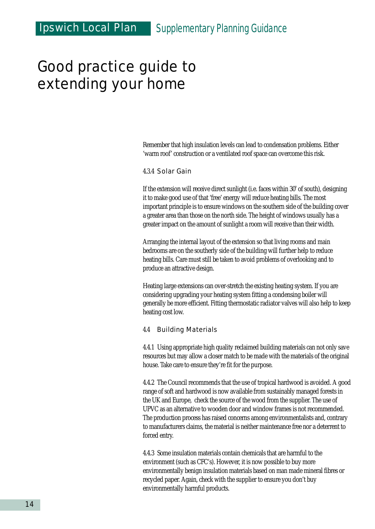Remember that high insulation levels can lead to condensation problems. Either 'warm roof' construction or a ventilated roof space can overcome this risk.

#### 4.3.4 Solar Gain

If the extension will receive direct sunlight (i.e. faces within 30° of south), designing it to make good use of that 'free' energy will reduce heating bills. The most important principle is to ensure windows on the southern side of the building cover a greater area than those on the north side. The height of windows usually has a greater impact on the amount of sunlight a room will receive than their width.

Arranging the internal layout of the extension so that living rooms and main bedrooms are on the southerly side of the building will further help to reduce heating bills. Care must still be taken to avoid problems of overlooking and to produce an attractive design.

Heating large extensions can over-stretch the existing heating system. If you are considering upgrading your heating system fitting a condensing boiler will generally be more efficient. Fitting thermostatic radiator valves will also help to keep heating cost low.

#### 4.4 Building Materials

4.4.1 Using appropriate high quality reclaimed building materials can not only save resources but may allow a closer match to be made with the materials of the original house. Take care to ensure they're fit for the purpose.

4.4.2 The Council recommends that the use of tropical hardwood is avoided. A good range of soft and hardwood is now available from sustainably managed forests in the UK and Europe, check the source of the wood from the supplier. The use of UPVC as an alternative to wooden door and window frames is not recommended. The production process has raised concerns among environmentalists and, contrary to manufacturers claims, the material is neither maintenance free nor a deterrent to forced entry.

4.4.3 Some insulation materials contain chemicals that are harmful to the environment (such as CFC's). However, it is now possible to buy more environmentally benign insulation materials based on man made mineral fibres or recycled paper. Again, check with the supplier to ensure you don't buy environmentally harmful products.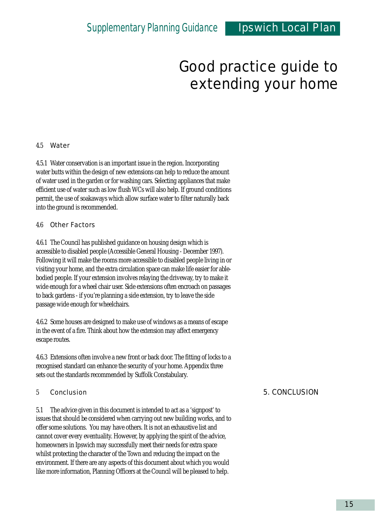#### 4.5 Water

4.5.1 Water conservation is an important issue in the region. Incorporating water butts within the design of new extensions can help to reduce the amount of water used in the garden or for washing cars. Selecting appliances that make efficient use of water such as low flush WCs will also help. If ground conditions permit, the use of soakaways which allow surface water to filter naturally back into the ground is recommended.

#### 4.6 Other Factors

4.6.1 The Council has published guidance on housing design which is accessible to disabled people (Accessible General Housing - December 1997). Following it will make the rooms more accessible to disabled people living in or visiting your home, and the extra circulation space can make life easier for ablebodied people. If your extension involves relaying the driveway, try to make it wide enough for a wheel chair user. Side extensions often encroach on passages to back gardens - if you're planning a side extension, try to leave the side passage wide enough for wheelchairs.

4.6.2 Some houses are designed to make use of windows as a means of escape in the event of a fire. Think about how the extension may affect emergency escape routes.

4.6.3 Extensions often involve a new front or back door. The fitting of locks to a recognised standard can enhance the security of your home. Appendix three sets out the standards recommended by Suffolk Constabulary.

#### 5 Conclusion

5.1 The advice given in this document is intended to act as a 'signpost' to issues that should be considered when carrying out new building works, and to offer some solutions. You may have others. It is not an exhaustive list and cannot cover every eventuality. However, by applying the spirit of the advice, homeowners in Ipswich may successfully meet their needs for extra space whilst protecting the character of the Town and reducing the impact on the environment. If there are any aspects of this document about which you would like more information, Planning Officers at the Council will be pleased to help.

#### 5. CONCLUSION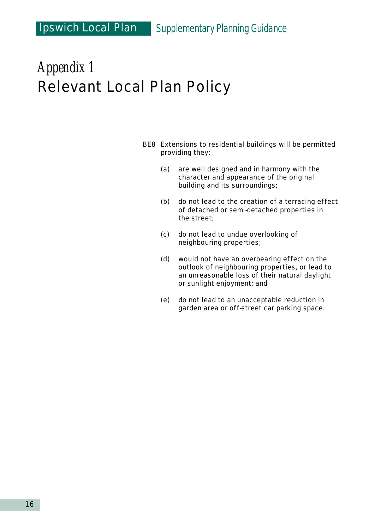## *Appendix 1* Relevant Local Plan Policy

- BE8 Extensions to residential buildings will be permitted providing they:
	- (a) are well designed and in harmony with the character and appearance of the original building and its surroundings;
	- (b) do not lead to the creation of a terracing effect of detached or semi-detached properties in the street;
	- (c) do not lead to undue overlooking of neighbouring properties;
	- (d) would not have an overbearing effect on the outlook of neighbouring properties, or lead to an unreasonable loss of their natural daylight or sunlight enjoyment; and
	- (e) do not lead to an unacceptable reduction in garden area or off-street car parking space.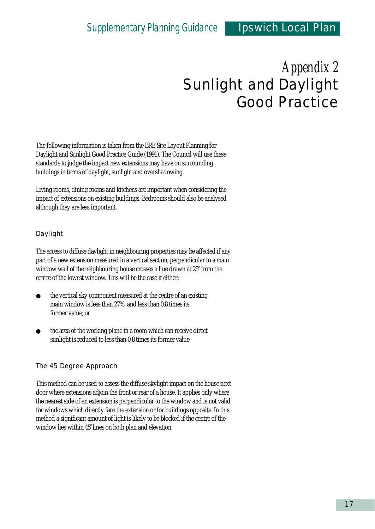## *Appendix 2* Sunlight and Daylight Good Practice

The following information is taken from the BRE Site Layout Planning for Daylight and Sunlight Good Practice Guide (1991). The Council will use these standards to judge the impact new extensions may have on surrounding buildings in terms of daylight, sunlight and overshadowing.

Living rooms, dining rooms and kitchens are important when considering the impact of extensions on existing buildings. Bedrooms should also be analysed although they are less important.

#### Daylight

The access to diffuse daylight in neighbouring properties may be affected if any part of a new extension measured in a vertical section, perpendicular to a main window wall of the neighbouring house crosses a line drawn at 25° from the centre of the lowest window. This will be the case if either:

- $\bullet$  the vertical sky component measured at the centre of an existing main window is less than 27%, and less than 0.8 times its former value; or
- the area of the working plane in a room which can receive direct sunlight is reduced to less than 0.8 times its former value

#### The 45 Degree Approach

This method can be used to assess the diffuse skylight impact on the house next door where extensions adjoin the front or rear of a house. It applies only where the nearest side of an extension is perpendicular to the window and is not valid for windows which directly face the extension or for buildings opposite. In this method a significant amount of light is likely to be blocked if the centre of the window lies within 45° lines on both plan and elevation.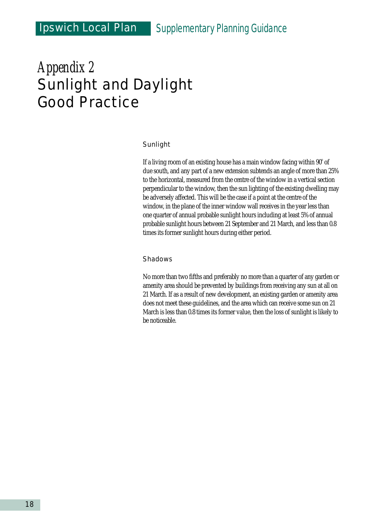### Ipswich Local Plan *Supplementary Planning Guidance*

## *Appendix 2* Sunlight and Daylight Good Practice

#### Sunlight

If a living room of an existing house has a main window facing within  $90^{\circ}$  of due south, and any part of a new extension subtends an angle of more than 25% to the horizontal, measured from the centre of the window in a vertical section perpendicular to the window, then the sun lighting of the existing dwelling may be adversely affected. This will be the case if a point at the centre of the window, in the plane of the inner window wall receives in the year less than one quarter of annual probable sunlight hours including at least 5% of annual probable sunlight hours between 21 September and 21 March, and less than 0.8 times its former sunlight hours during either period.

#### Shadows

No more than two fifths and preferably no more than a quarter of any garden or amenity area should be prevented by buildings from receiving any sun at all on 21 March. If as a result of new development, an existing garden or amenity area does not meet these guidelines, and the area which can receive some sun on 21 March is less than 0.8 times its former value, then the loss of sunlight is likely to be noticeable.